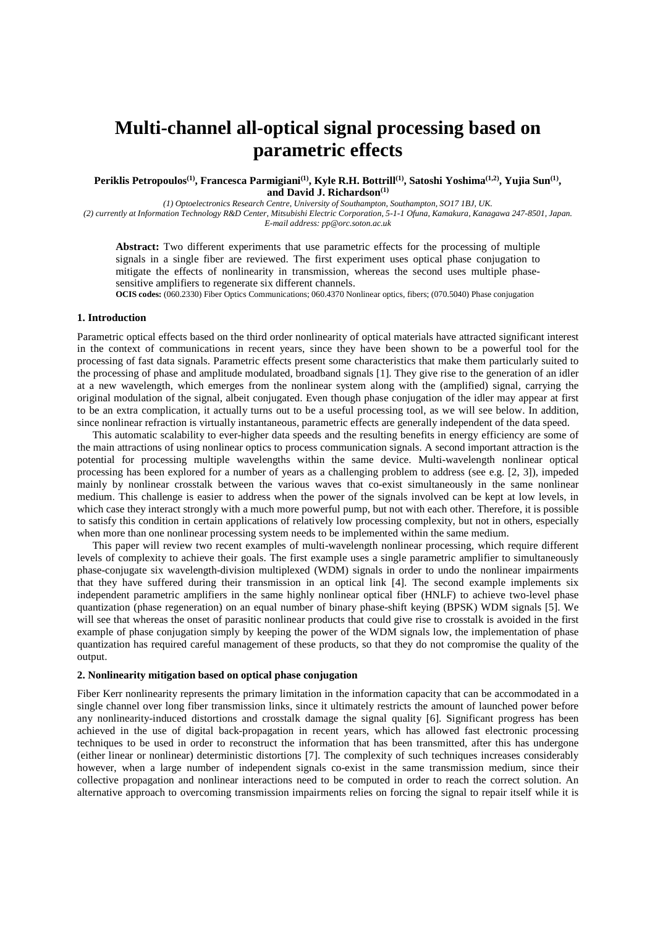# **Multi-channel all-optical signal processing based on parametric effects**

**Periklis Petropoulos(1), Francesca Parmigiani(1), Kyle R.H. Bottrill(1), Satoshi Yoshima(1,2), Yujia Sun(1) , and David J. Richardson(1)**

*(1) Optoelectronics Research Centre, University of Southampton, Southampton, SO17 1BJ, UK.* 

*(2) currently at Information Technology R&D Center, Mitsubishi Electric Corporation, 5-1-1 Ofuna, Kamakura, Kanagawa 247-8501, Japan. E-mail address: pp@orc.soton.ac.uk* 

**Abstract:** Two different experiments that use parametric effects for the processing of multiple signals in a single fiber are reviewed. The first experiment uses optical phase conjugation to mitigate the effects of nonlinearity in transmission, whereas the second uses multiple phasesensitive amplifiers to regenerate six different channels.

**OCIS codes:** (060.2330) Fiber Optics Communications; 060.4370 Nonlinear optics, fibers; (070.5040) Phase conjugation

## **1. Introduction**

Parametric optical effects based on the third order nonlinearity of optical materials have attracted significant interest in the context of communications in recent years, since they have been shown to be a powerful tool for the processing of fast data signals. Parametric effects present some characteristics that make them particularly suited to the processing of phase and amplitude modulated, broadband signals [1]. They give rise to the generation of an idler at a new wavelength, which emerges from the nonlinear system along with the (amplified) signal, carrying the original modulation of the signal, albeit conjugated. Even though phase conjugation of the idler may appear at first to be an extra complication, it actually turns out to be a useful processing tool, as we will see below. In addition, since nonlinear refraction is virtually instantaneous, parametric effects are generally independent of the data speed.

This automatic scalability to ever-higher data speeds and the resulting benefits in energy efficiency are some of the main attractions of using nonlinear optics to process communication signals. A second important attraction is the potential for processing multiple wavelengths within the same device. Multi-wavelength nonlinear optical processing has been explored for a number of years as a challenging problem to address (see e.g. [2, 3]), impeded mainly by nonlinear crosstalk between the various waves that co-exist simultaneously in the same nonlinear medium. This challenge is easier to address when the power of the signals involved can be kept at low levels, in which case they interact strongly with a much more powerful pump, but not with each other. Therefore, it is possible to satisfy this condition in certain applications of relatively low processing complexity, but not in others, especially when more than one nonlinear processing system needs to be implemented within the same medium.

This paper will review two recent examples of multi-wavelength nonlinear processing, which require different levels of complexity to achieve their goals. The first example uses a single parametric amplifier to simultaneously phase-conjugate six wavelength-division multiplexed (WDM) signals in order to undo the nonlinear impairments that they have suffered during their transmission in an optical link [4]. The second example implements six independent parametric amplifiers in the same highly nonlinear optical fiber (HNLF) to achieve two-level phase quantization (phase regeneration) on an equal number of binary phase-shift keying (BPSK) WDM signals [5]. We will see that whereas the onset of parasitic nonlinear products that could give rise to crosstalk is avoided in the first example of phase conjugation simply by keeping the power of the WDM signals low, the implementation of phase quantization has required careful management of these products, so that they do not compromise the quality of the output.

#### **2. Nonlinearity mitigation based on optical phase conjugation**

Fiber Kerr nonlinearity represents the primary limitation in the information capacity that can be accommodated in a single channel over long fiber transmission links, since it ultimately restricts the amount of launched power before any nonlinearity-induced distortions and crosstalk damage the signal quality [6]. Significant progress has been achieved in the use of digital back-propagation in recent years, which has allowed fast electronic processing techniques to be used in order to reconstruct the information that has been transmitted, after this has undergone (either linear or nonlinear) deterministic distortions [7]. The complexity of such techniques increases considerably however, when a large number of independent signals co-exist in the same transmission medium, since their collective propagation and nonlinear interactions need to be computed in order to reach the correct solution. An alternative approach to overcoming transmission impairments relies on forcing the signal to repair itself while it is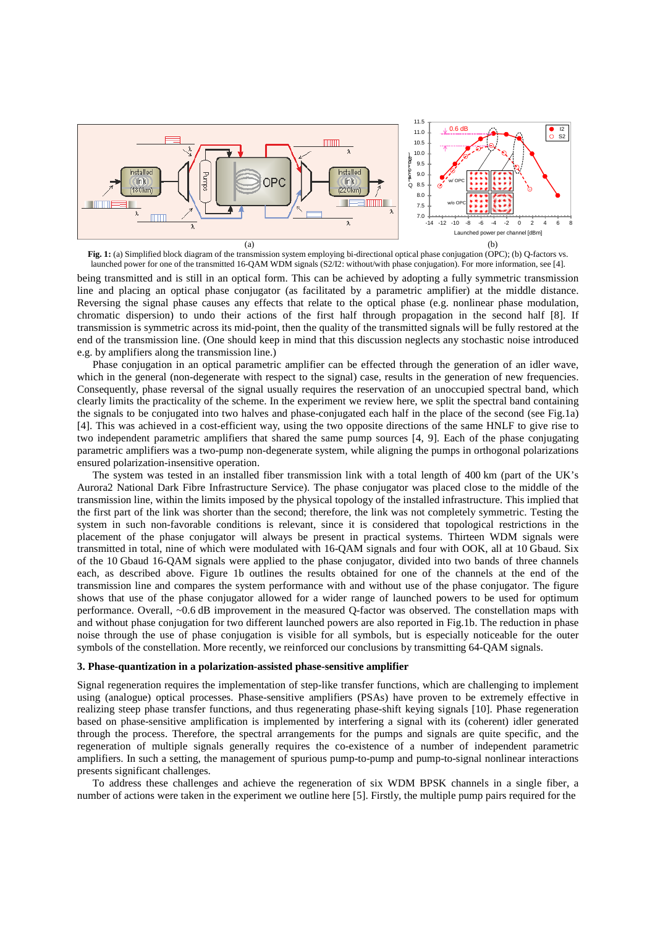

**Fig. 1:** (a) Simplified block diagram of the transmission system employing bi-directional optical phase conjugation (OPC); (b) Q-factors vs. launched power for one of the transmitted 16-QAM WDM signals (S2/I2: without/with phase conjugation). For more information, see [4].

being transmitted and is still in an optical form. This can be achieved by adopting a fully symmetric transmission line and placing an optical phase conjugator (as facilitated by a parametric amplifier) at the middle distance. Reversing the signal phase causes any effects that relate to the optical phase (e.g. nonlinear phase modulation, chromatic dispersion) to undo their actions of the first half through propagation in the second half [8]. If transmission is symmetric across its mid-point, then the quality of the transmitted signals will be fully restored at the end of the transmission line. (One should keep in mind that this discussion neglects any stochastic noise introduced e.g. by amplifiers along the transmission line.)

Phase conjugation in an optical parametric amplifier can be effected through the generation of an idler wave, which in the general (non-degenerate with respect to the signal) case, results in the generation of new frequencies. Consequently, phase reversal of the signal usually requires the reservation of an unoccupied spectral band, which clearly limits the practicality of the scheme. In the experiment we review here, we split the spectral band containing the signals to be conjugated into two halves and phase-conjugated each half in the place of the second (see Fig.1a) [4]. This was achieved in a cost-efficient way, using the two opposite directions of the same HNLF to give rise to two independent parametric amplifiers that shared the same pump sources [4, 9]. Each of the phase conjugating parametric amplifiers was a two-pump non-degenerate system, while aligning the pumps in orthogonal polarizations ensured polarization-insensitive operation.

The system was tested in an installed fiber transmission link with a total length of 400 km (part of the UK's Aurora2 National Dark Fibre Infrastructure Service). The phase conjugator was placed close to the middle of the transmission line, within the limits imposed by the physical topology of the installed infrastructure. This implied that the first part of the link was shorter than the second; therefore, the link was not completely symmetric. Testing the system in such non-favorable conditions is relevant, since it is considered that topological restrictions in the placement of the phase conjugator will always be present in practical systems. Thirteen WDM signals were transmitted in total, nine of which were modulated with 16-QAM signals and four with OOK, all at 10 Gbaud. Six of the 10 Gbaud 16-QAM signals were applied to the phase conjugator, divided into two bands of three channels each, as described above. Figure 1b outlines the results obtained for one of the channels at the end of the transmission line and compares the system performance with and without use of the phase conjugator. The figure shows that use of the phase conjugator allowed for a wider range of launched powers to be used for optimum performance. Overall, ~0.6 dB improvement in the measured Q-factor was observed. The constellation maps with and without phase conjugation for two different launched powers are also reported in Fig.1b. The reduction in phase noise through the use of phase conjugation is visible for all symbols, but is especially noticeable for the outer symbols of the constellation. More recently, we reinforced our conclusions by transmitting 64-QAM signals.

#### **3. Phase-quantization in a polarization-assisted phase-sensitive amplifier**

Signal regeneration requires the implementation of step-like transfer functions, which are challenging to implement using (analogue) optical processes. Phase-sensitive amplifiers (PSAs) have proven to be extremely effective in realizing steep phase transfer functions, and thus regenerating phase-shift keying signals [10]. Phase regeneration based on phase-sensitive amplification is implemented by interfering a signal with its (coherent) idler generated through the process. Therefore, the spectral arrangements for the pumps and signals are quite specific, and the regeneration of multiple signals generally requires the co-existence of a number of independent parametric amplifiers. In such a setting, the management of spurious pump-to-pump and pump-to-signal nonlinear interactions presents significant challenges.

To address these challenges and achieve the regeneration of six WDM BPSK channels in a single fiber, a number of actions were taken in the experiment we outline here [5]. Firstly, the multiple pump pairs required for the